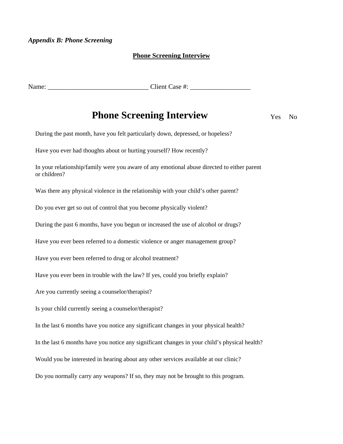## *Appendix B: Phone Screening*

## **Phone Screening Interview**

Name: \_\_\_\_\_\_\_\_\_\_\_\_\_\_\_\_\_\_\_\_\_\_\_\_\_\_\_\_\_\_ Client Case #: \_\_\_\_\_\_\_\_\_\_\_\_\_\_\_\_\_\_

## **Phone Screening Interview** Yes No

During the past month, have you felt particularly down, depressed, or hopeless?

Have you ever had thoughts about or hurting yourself? How recently?

In your relationship/family were you aware of any emotional abuse directed to either parent or children?

Was there any physical violence in the relationship with your child's other parent?

Do you ever get so out of control that you become physically violent?

During the past 6 months, have you begun or increased the use of alcohol or drugs?

Have you ever been referred to a domestic violence or anger management group?

Have you ever been referred to drug or alcohol treatment?

Have you ever been in trouble with the law? If yes, could you briefly explain?

Are you currently seeing a counselor/therapist?

Is your child currently seeing a counselor/therapist?

In the last 6 months have you notice any significant changes in your physical health?

In the last 6 months have you notice any significant changes in your child's physical health?

Would you be interested in hearing about any other services available at our clinic?

Do you normally carry any weapons? If so, they may not be brought to this program.